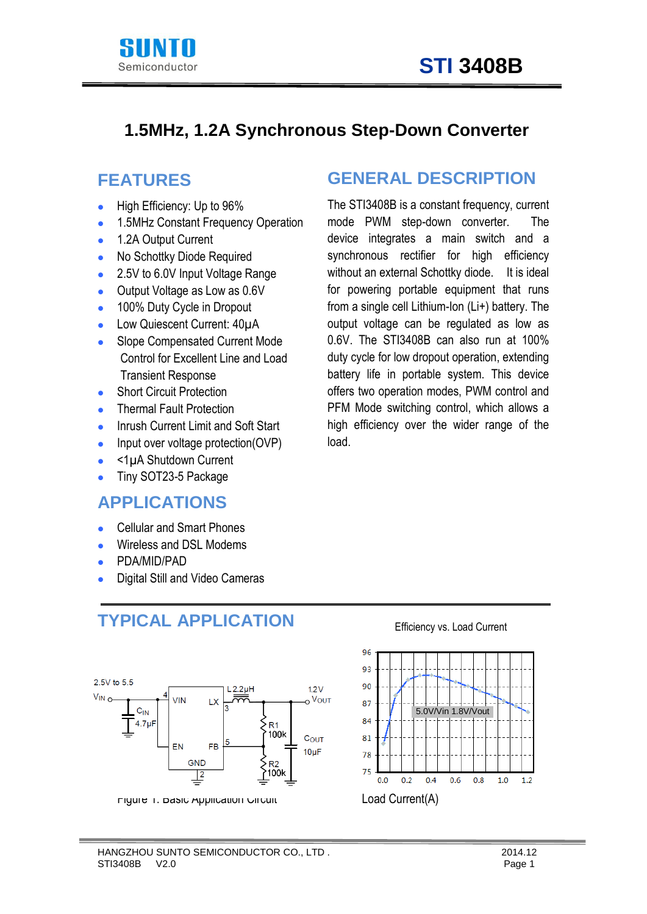



#### **1.5MHz, 1.2A Synchronous Step-Down Converter**

#### **FEATURES**

- **High Efficiency: Up to 96%**
- 1.5MHz Constant Frequency Operation
- 1.2A Output Current
- No Schottky Diode Required
- 2.5V to 6.0V Input Voltage Range
- Output Voltage as Low as 0.6V
- 100% Duty Cycle in Dropout
- Low Quiescent Current: 40µA
- Slope Compensated Current Mode Control for Excellent Line and Load Transient Response
- **Short Circuit Protection**
- **•** Thermal Fault Protection
- Inrush Current Limit and Soft Start
- Input over voltage protection(OVP)
- $\bullet$  <1 $\mu$ A Shutdown Current
- Tiny SOT23-5 Package

#### **APPLICATIONS**

- Cellular and Smart Phones
- Wireless and DSL Modems
- PDA/MID/PAD
- Digital Still and Video Cameras

### **TYPICAL APPLICATION**



Figure 1. Basic Application Circuit Load Current(A)

### **GENERAL DESCRIPTION**

The STI3408B is a constant frequency, current mode PWM step-down converter. The device integrates a main switch and a synchronous rectifier for high efficiency without an external Schottky diode. It is ideal for powering portable equipment that runs from a single cell Lithium-Ion (Li+) battery. The output voltage can be regulated as low as 0.6V. The STI3408B can also run at 100% duty cycle for low dropout operation, extending battery life in portable system. This device offers two operation modes, PWM control and PFM Mode switching control, which allows a high efficiency over the wider range of the load.

#### 96 93 90 87 5.0V/Vin 1.8V/Vout 84 81 78  $75$  $0.0$  $0.2$  $0.4$  $0.6$  $0.8$  $1.0$  $1.2$

Efficiency vs. Load Current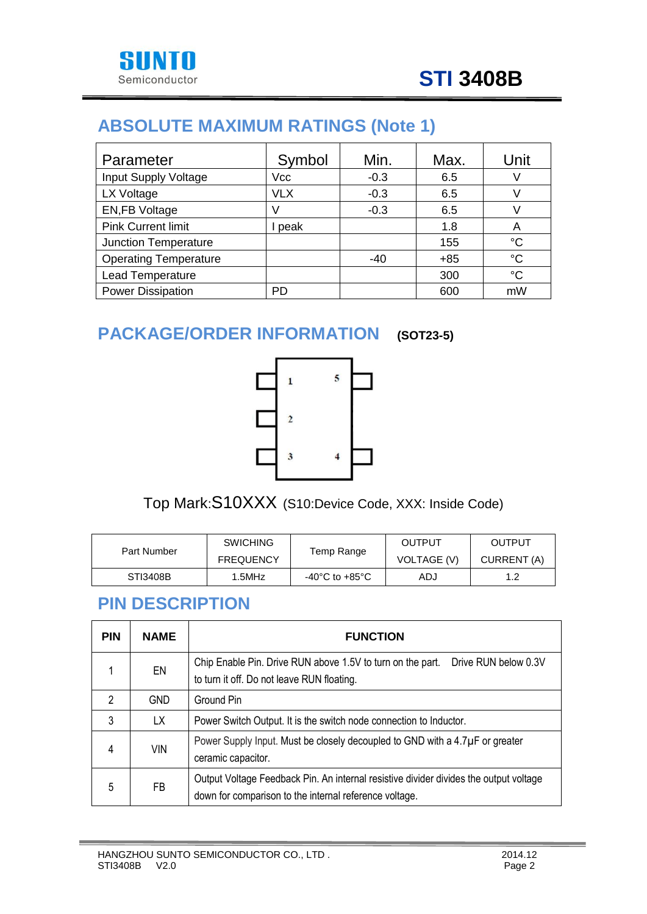

# **ABSOLUTE MAXIMUM RATINGS (Note 1)**

| Parameter                    | Symbol     | Min.   | Max.  | Unit |
|------------------------------|------------|--------|-------|------|
| Input Supply Voltage         | Vcc        | $-0.3$ | 6.5   |      |
| LX Voltage                   | <b>VLX</b> | $-0.3$ | 6.5   |      |
| <b>EN,FB Voltage</b>         | V          | $-0.3$ | 6.5   |      |
| <b>Pink Current limit</b>    | peak       |        | 1.8   | A    |
| Junction Temperature         |            |        | 155   | °C   |
| <b>Operating Temperature</b> |            | $-40$  | $+85$ | °C   |
| Lead Temperature             |            |        | 300   | °C   |
| <b>Power Dissipation</b>     | <b>PD</b>  |        | 600   | mW   |

# **PACKAGE/ORDER INFORMATION (SOT23-5)**



Top Mark:S10XXX (S10:Device Code, XXX: Inside Code)

|             | <b>SWICHING</b>  |                | OUTPUT             | OUTPUT      |
|-------------|------------------|----------------|--------------------|-------------|
| Part Number | <b>FREQUENCY</b> | Temp Range     | <b>VOLTAGE (V)</b> | CURRENT (A) |
| STI3408B    | 1.5MHz           | -40°C to +85°C | ADJ                |             |

#### **PIN DESCRIPTION**

| <b>PIN</b>     | <b>NAME</b> | <b>FUNCTION</b>                                                                                                                                 |  |  |
|----------------|-------------|-------------------------------------------------------------------------------------------------------------------------------------------------|--|--|
|                | EN          | Drive RUN below 0.3V<br>Chip Enable Pin. Drive RUN above 1.5V to turn on the part.<br>to turn it off. Do not leave RUN floating.                |  |  |
| $\mathfrak{p}$ | <b>GND</b>  | Ground Pin                                                                                                                                      |  |  |
| 3              | LX.         | Power Switch Output. It is the switch node connection to Inductor.                                                                              |  |  |
| 4              | <b>VIN</b>  | Power Supply Input. Must be closely decoupled to GND with a 4.7µF or greater<br>ceramic capacitor.                                              |  |  |
| 5              | FB          | Output Voltage Feedback Pin. An internal resistive divider divides the output voltage<br>down for comparison to the internal reference voltage. |  |  |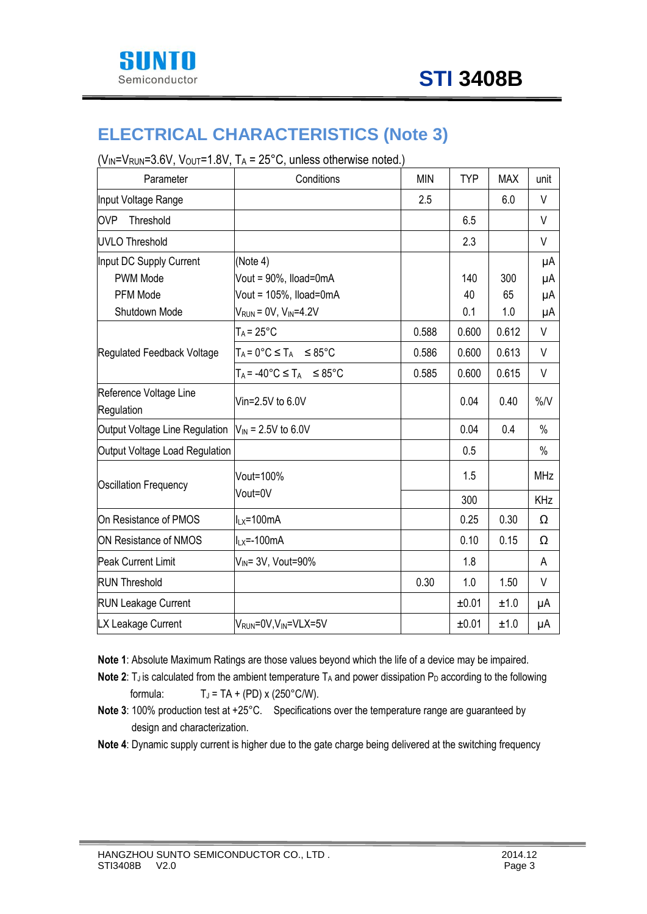

### **ELECTRICAL CHARACTERISTICS (Note 3)**

 $(V_{IN} = V_{RUN} = 3.6V, V_{OUT} = 1.8V, T_A = 25°C, unless otherwise noted.)$ 

| Parameter                            | Conditions                                       | <b>MIN</b> | <b>TYP</b> | <b>MAX</b> | unit       |
|--------------------------------------|--------------------------------------------------|------------|------------|------------|------------|
| Input Voltage Range                  |                                                  | 2.5        |            | 6.0        | V          |
| <b>OVP</b><br>Threshold              |                                                  |            | 6.5        |            | V          |
| UVLO Threshold                       |                                                  |            | 2.3        |            | V          |
| Input DC Supply Current              | (Note 4)                                         |            |            |            | μA         |
| PWM Mode                             | Vout = 90%, Iload=0mA                            |            | 140        | 300        | μA         |
| PFM Mode                             | Vout = 105%, Iload=0mA                           |            | 40         | 65         | μA         |
| Shutdown Mode                        | $V_{RUN} = 0V$ , $V_{IN} = 4.2V$                 |            | 0.1        | 1.0        | μA         |
|                                      | $T_A = 25^{\circ}C$                              | 0.588      | 0.600      | 0.612      | V          |
| Regulated Feedback Voltage           | $T_A = 0^\circ C \leq T_A \leq 85^\circ C$       | 0.586      | 0.600      | 0.613      | V          |
|                                      | $T_A = -40^{\circ}C \leq T_A$ $\leq 85^{\circ}C$ | 0.585      | 0.600      | 0.615      | V          |
| Reference Voltage Line<br>Regulation | Vin=2.5V to 6.0V                                 |            | 0.04       | 0.40       | %N         |
| Output Voltage Line Regulation       | $V_{\text{IN}}$ = 2.5V to 6.0V                   |            | 0.04       | 0.4        | $\%$       |
| Output Voltage Load Regulation       |                                                  |            | 0.5        |            | $\%$       |
| <b>Oscillation Frequency</b>         | Vout=100%                                        |            | 1.5        |            | <b>MHz</b> |
|                                      | Vout=0V                                          |            | 300        |            | KHz        |
| On Resistance of PMOS                | $I_{LX} = 100mA$                                 |            | 0.25       | 0.30       | Ω          |
| <b>ON Resistance of NMOS</b>         | $I_{LX} = -100mA$                                |            | 0.10       | 0.15       | Ω          |
| <b>Peak Current Limit</b>            | V <sub>IN</sub> = 3V, Vout=90%                   |            | 1.8        |            | A          |
| <b>RUN Threshold</b>                 |                                                  | 0.30       | 1.0        | 1.50       | V          |
| <b>RUN Leakage Current</b>           |                                                  |            | ±0.01      | ±1.0       | μA         |
| LX Leakage Current                   | V <sub>RUN</sub> =0V, V <sub>IN</sub> =VLX=5V    |            | ±0.01      | ±1.0       | μA         |

**Note 1**: Absolute Maximum Ratings are those values beyond which the life of a device may be impaired.

**Note 2**:  $T_J$  is calculated from the ambient temperature  $T_A$  and power dissipation  $P_D$  according to the following formula:  $T_J = TA + (PD) \times (250^{\circ}C/W)$ .

- **Note 3:** 100% production test at +25°C. Specifications over the temperature range are guaranteed by design and characterization.
- **Note 4**: Dynamic supply current is higher due to the gate charge being delivered at the switching frequency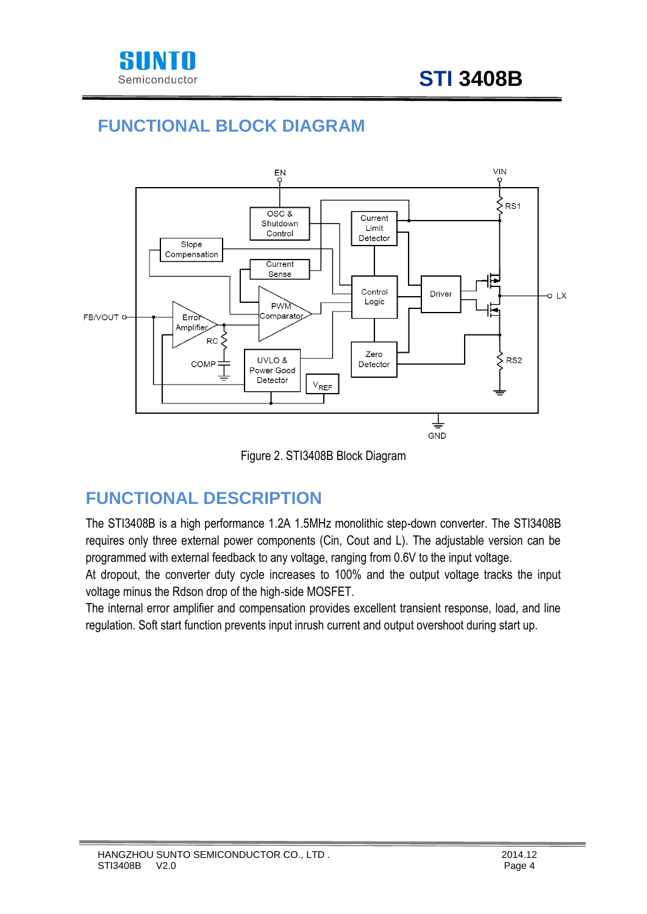

# **FUNCTIONAL BLOCK DIAGRAM**



Figure 2. STI3408B Block Diagram

# **FUNCTIONAL DESCRIPTION**

The STI3408B is a high performance 1.2A 1.5MHz monolithic step-down converter. The STI3408B requires only three external power components (Cin, Cout and L). The adjustable version can be programmed with external feedback to any voltage, ranging from 0.6V to the input voltage.

At dropout, the converter duty cycle increases to 100% and the output voltage tracks the input voltage minus the Rdson drop of the high-side MOSFET.

The internal error amplifier and compensation provides excellent transient response, load, and line regulation. Soft start function prevents input inrush current and output overshoot during start up.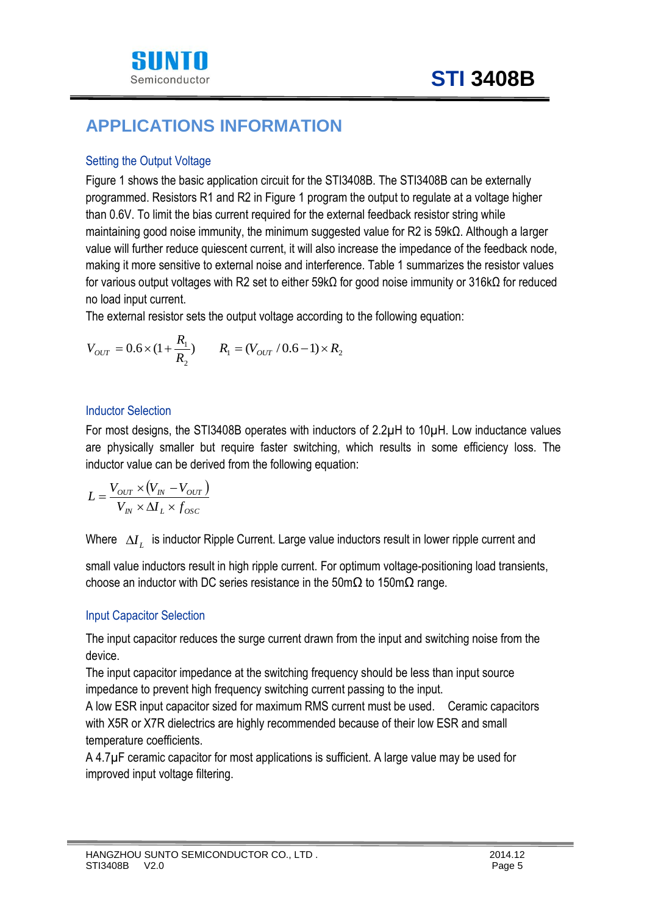

### **APPLICATIONS INFORMATION**

#### Setting the Output Voltage

Figure 1 shows the basic application circuit for the STI3408B. The STI3408B can be externally programmed. Resistors R1 and R2 in Figure 1 program the output to regulate at a voltage higher than 0.6V. To limit the bias current required for the external feedback resistor string while maintaining good noise immunity, the minimum suggested value for R2 is 59kΩ. Although a larger value will further reduce quiescent current, it will also increase the impedance of the feedback node, making it more sensitive to external noise and interference. Table 1 summarizes the resistor values for various output voltages with R2 set to either 59kΩ for good noise immunity or 316kΩ for reduced no load input current.

The external resistor sets the output voltage according to the following equation:

$$
V_{OUT} = 0.6 \times (1 + \frac{R_1}{R_2}) \qquad R_1 = (V_{OUT} / 0.6 - 1) \times R_2
$$

#### Inductor Selection

For most designs, the STI3408B operates with inductors of 2.2 $\mu$ H to 10 $\mu$ H. Low inductance values are physically smaller but require faster switching, which results in some efficiency loss. The inductor value can be derived from the following equation:

$$
L = \frac{V_{OUT} \times (V_{IN} - V_{OUT})}{V_{IN} \times \Delta I_L \times f_{osc}}
$$

Where  $\Delta I_{L}^{\phantom{\dag}}$  is inductor Ripple Current. Large value inductors result in lower ripple current and

small value inductors result in high ripple current. For optimum voltage-positioning load transients, choose an inductor with DC series resistance in the 50m $\Omega$  to 150m $\Omega$  range.

#### Input Capacitor Selection

The input capacitor reduces the surge current drawn from the input and switching noise from the device.

The input capacitor impedance at the switching frequency should be less than input source impedance to prevent high frequency switching current passing to the input.

A low ESR input capacitor sized for maximum RMS current must be used. Ceramic capacitors with X5R or X7R dielectrics are highly recommended because of their low ESR and small temperature coefficients.

A 4.7µ F ceramic capacitor for most applications is sufficient. A large value may be used for improved input voltage filtering.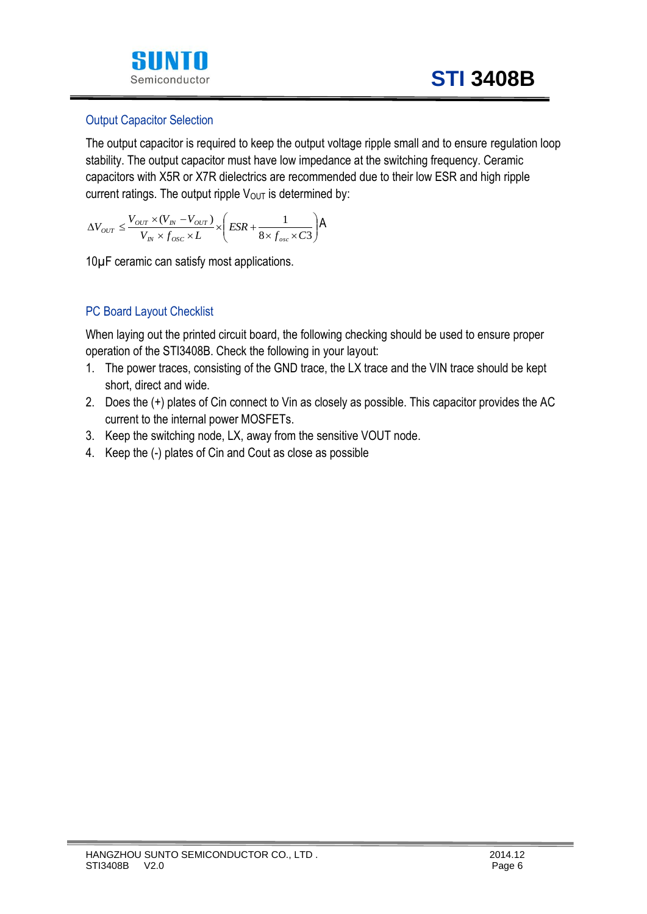

#### Output Capacitor Selection

The output capacitor is required to keep the output voltage ripple small and to ensure regulation loop stability. The output capacitor must have low impedance at the switching frequency. Ceramic capacitors with X5R or X7R dielectrics are recommended due to their low ESR and high ripple current ratings. The output ripple  $V_{\text{OUT}}$  is determined by:

$$
\Delta V_{OUT} \leq \frac{V_{OUT} \times (V_{IN} - V_{OUT})}{V_{IN} \times f_{osc} \times L} \times \left(ESR + \frac{1}{8 \times f_{osc} \times C3}\right) \text{A}
$$

10µ F ceramic can satisfy most applications.

#### PC Board Layout Checklist

When laying out the printed circuit board, the following checking should be used to ensure proper operation of the STI3408B. Check the following in your layout:

- 1. The power traces, consisting of the GND trace, the LX trace and the VIN trace should be kept short, direct and wide.
- 2. Does the (+) plates of Cin connect to Vin as closely as possible. This capacitor provides the AC current to the internal power MOSFETs.
- 3. Keep the switching node, LX, away from the sensitive VOUT node.
- 4. Keep the (-) plates of Cin and Cout as close as possible